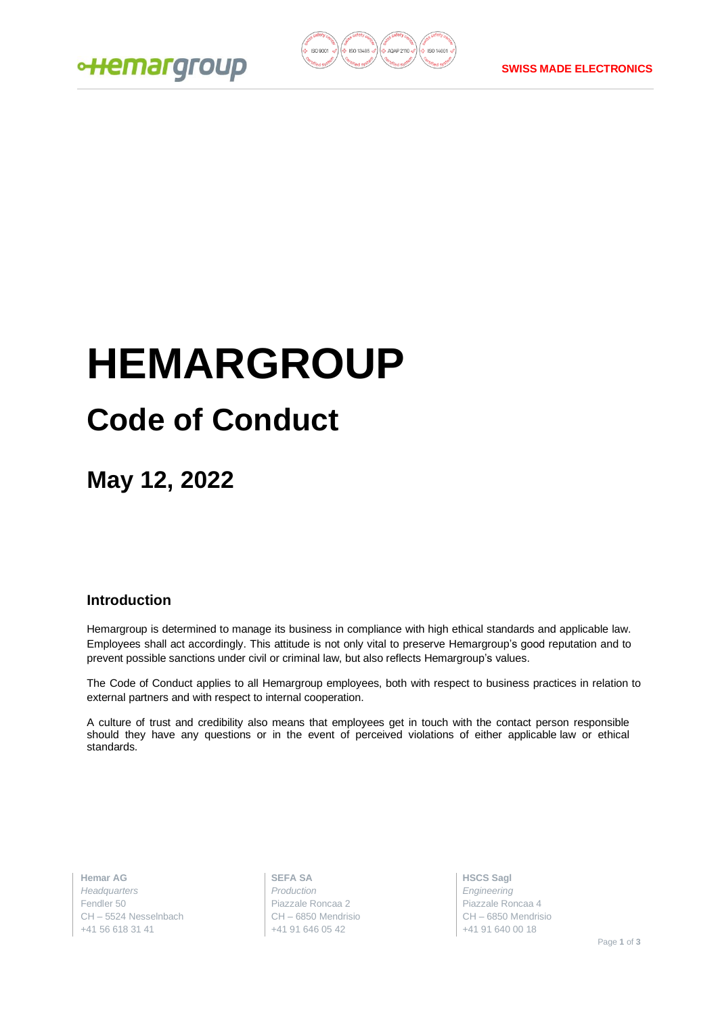



# **HEMARGROUP Code of Conduct**

**May 12, 2022**

# **Introduction**

Hemargroup is determined to manage its business in compliance with high ethical standards and applicable law. Employees shall act accordingly. This attitude is not only vital to preserve Hemargroup's good reputation and to prevent possible sanctions under civil or criminal law, but also reflects Hemargroup's values.

The Code of Conduct applies to all Hemargroup employees, both with respect to business practices in relation to external partners and with respect to internal cooperation.

A culture of trust and credibility also means that employees get in touch with the contact person responsible should they have any questions or in the event of perceived violations of either applicable law or ethical standards.

**Hemar AG** *Headquarters* Fendler 50 CH – 5524 Nesselnbach +41 56 618 31 41

**SEFA SA** *Production* Piazzale Roncaa 2 CH – 6850 Mendrisio +41 91 646 05 42

**HSCS Sagl** *Engineering* Piazzale Roncaa 4 CH – 6850 Mendrisio +41 91 640 00 18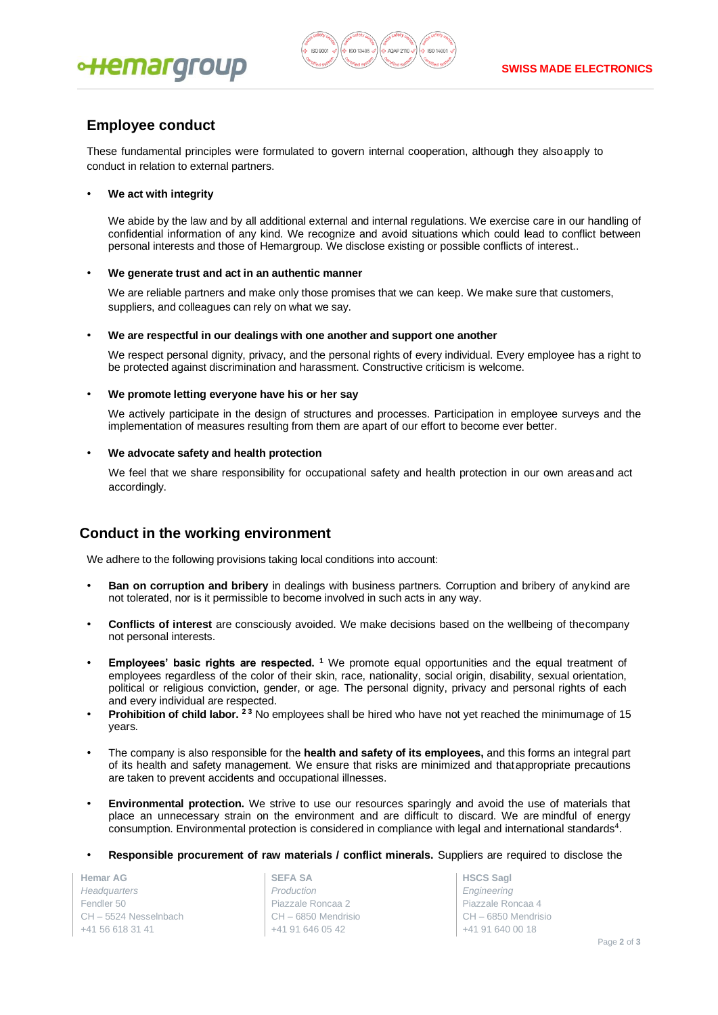



# **Employee conduct**

These fundamental principles were formulated to govern internal cooperation, although they alsoapply to conduct in relation to external partners.

#### • **We act with integrity**

We abide by the law and by all additional external and internal regulations. We exercise care in our handling of confidential information of any kind. We recognize and avoid situations which could lead to conflict between personal interests and those of Hemargroup. We disclose existing or possible conflicts of interest..

#### • **We generate trust and act in an authentic manner**

We are reliable partners and make only those promises that we can keep. We make sure that customers, suppliers, and colleagues can rely on what we say.

• **We are respectful in our dealings with one another and support one another**

We respect personal dignity, privacy, and the personal rights of every individual. Every employee has a right to be protected against discrimination and harassment. Constructive criticism is welcome.

#### • **We promote letting everyone have his or her say**

We actively participate in the design of structures and processes. Participation in employee surveys and the implementation of measures resulting from them are apart of our effort to become ever better.

#### • **We advocate safety and health protection**

We feel that we share responsibility for occupational safety and health protection in our own areasand act accordingly.

# **Conduct in the working environment**

We adhere to the following provisions taking local conditions into account:

- **Ban on corruption and bribery** in dealings with business partners. Corruption and bribery of anykind are not tolerated, nor is it permissible to become involved in such acts in any way.
- **Conflicts of interest** are consciously avoided. We make decisions based on the wellbeing of thecompany not personal interests.
- **Employees' basic rights are respected. <sup>1</sup>** We promote equal opportunities and the equal treatment of employees regardless of the color of their skin, race, nationality, social origin, disability, sexual orientation, political or religious conviction, gender, or age. The personal dignity, privacy and personal rights of each and every individual are respected.
- **Prohibition of child labor. 2 3** No employees shall be hired who have not yet reached the minimumage of 15 years.
- The company is also responsible for the **health and safety of its employees,** and this forms an integral part of its health and safety management. We ensure that risks are minimized and thatappropriate precautions are taken to prevent accidents and occupational illnesses.
- **Environmental protection.** We strive to use our resources sparingly and avoid the use of materials that place an unnecessary strain on the environment and are difficult to discard. We are mindful of energy consumption. Environmental protection is considered in compliance with legal and international standards<sup>4</sup>.
- **Responsible procurement of raw materials / conflict minerals.** Suppliers are required to disclose the

**Hemar AG** *Headquarters* Fendler 50 CH – 5524 Nesselnbach +41 56 618 31 41

**SEFA SA** *Production* Piazzale Roncaa 2 CH – 6850 Mendrisio +41 91 646 05 42

**HSCS Sagl** *Engineering* Piazzale Roncaa 4 CH – 6850 Mendrisio +41 91 640 00 18